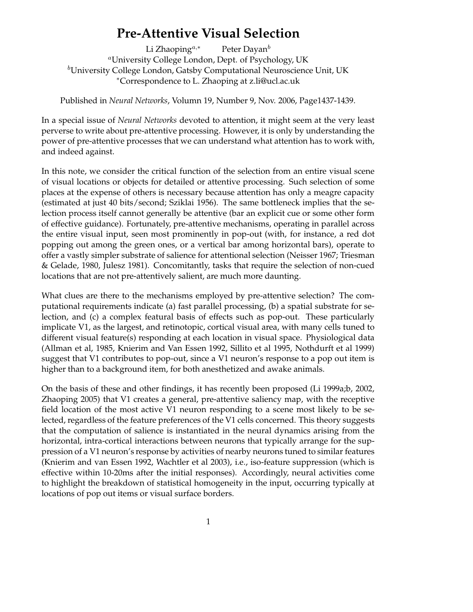## **Pre-Attentive Visual Selection**

Li Zhaoping<sup>a,∗</sup> Peter Dayan<sup>b</sup> <sup>a</sup>University College London, Dept. of Psychology, UK  $<sup>b</sup>$ University College London, Gatsby Computational Neuroscience Unit, UK</sup> <sup>∗</sup>Correspondence to L. Zhaoping at z.li@ucl.ac.uk

Published in *Neural Networks*, Volumn 19, Number 9, Nov. 2006, Page1437-1439.

In a special issue of *Neural Networks* devoted to attention, it might seem at the very least perverse to write about pre-attentive processing. However, it is only by understanding the power of pre-attentive processes that we can understand what attention has to work with, and indeed against.

In this note, we consider the critical function of the selection from an entire visual scene of visual locations or objects for detailed or attentive processing. Such selection of some places at the expense of others is necessary because attention has only a meagre capacity (estimated at just 40 bits/second; Sziklai 1956). The same bottleneck implies that the selection process itself cannot generally be attentive (bar an explicit cue or some other form of effective guidance). Fortunately, pre-attentive mechanisms, operating in parallel across the entire visual input, seen most prominently in pop-out (with, for instance, a red dot popping out among the green ones, or a vertical bar among horizontal bars), operate to offer a vastly simpler substrate of salience for attentional selection (Neisser 1967; Triesman & Gelade, 1980, Julesz 1981). Concomitantly, tasks that require the selection of non-cued locations that are not pre-attentively salient, are much more daunting.

What clues are there to the mechanisms employed by pre-attentive selection? The computational requirements indicate (a) fast parallel processing, (b) a spatial substrate for selection, and (c) a complex featural basis of effects such as pop-out. These particularly implicate V1, as the largest, and retinotopic, cortical visual area, with many cells tuned to different visual feature(s) responding at each location in visual space. Physiological data (Allman et al, 1985, Knierim and Van Essen 1992, Sillito et al 1995, Nothdurft et al 1999) suggest that V1 contributes to pop-out, since a V1 neuron's response to a pop out item is higher than to a background item, for both anesthetized and awake animals.

On the basis of these and other findings, it has recently been proposed (Li 1999a;b, 2002, Zhaoping 2005) that V1 creates a general, pre-attentive saliency map, with the receptive field location of the most active V1 neuron responding to a scene most likely to be selected, regardless of the feature preferences of the V1 cells concerned. This theory suggests that the computation of salience is instantiated in the neural dynamics arising from the horizontal, intra-cortical interactions between neurons that typically arrange for the suppression of a V1 neuron's response by activities of nearby neurons tuned to similar features (Knierim and van Essen 1992, Wachtler et al 2003), i.e., iso-feature suppression (which is effective within 10-20ms after the initial responses). Accordingly, neural activities come to highlight the breakdown of statistical homogeneity in the input, occurring typically at locations of pop out items or visual surface borders.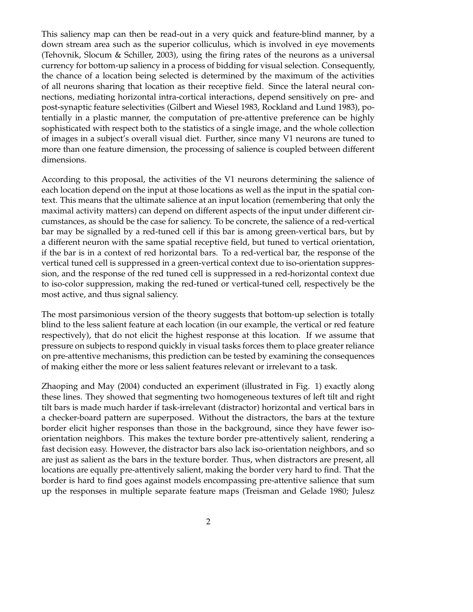This saliency map can then be read-out in a very quick and feature-blind manner, by a down stream area such as the superior colliculus, which is involved in eye movements (Tehovnik, Slocum & Schiller, 2003), using the firing rates of the neurons as a universal currency for bottom-up saliency in a process of bidding for visual selection. Consequently, the chance of a location being selected is determined by the maximum of the activities of all neurons sharing that location as their receptive field. Since the lateral neural connections, mediating horizontal intra-cortical interactions, depend sensitively on pre- and post-synaptic feature selectivities (Gilbert and Wiesel 1983, Rockland and Lund 1983), potentially in a plastic manner, the computation of pre-attentive preference can be highly sophisticated with respect both to the statistics of a single image, and the whole collection of images in a subject's overall visual diet. Further, since many V1 neurons are tuned to more than one feature dimension, the processing of salience is coupled between different dimensions.

According to this proposal, the activities of the V1 neurons determining the salience of each location depend on the input at those locations as well as the input in the spatial context. This means that the ultimate salience at an input location (remembering that only the maximal activity matters) can depend on different aspects of the input under different circumstances, as should be the case for saliency. To be concrete, the salience of a red-vertical bar may be signalled by a red-tuned cell if this bar is among green-vertical bars, but by a different neuron with the same spatial receptive field, but tuned to vertical orientation, if the bar is in a context of red horizontal bars. To a red-vertical bar, the response of the vertical tuned cell is suppressed in a green-vertical context due to iso-orientation suppression, and the response of the red tuned cell is suppressed in a red-horizontal context due to iso-color suppression, making the red-tuned or vertical-tuned cell, respectively be the most active, and thus signal saliency.

The most parsimonious version of the theory suggests that bottom-up selection is totally blind to the less salient feature at each location (in our example, the vertical or red feature respectively), that do not elicit the highest response at this location. If we assume that pressure on subjects to respond quickly in visual tasks forces them to place greater reliance on pre-attentive mechanisms, this prediction can be tested by examining the consequences of making either the more or less salient features relevant or irrelevant to a task.

Zhaoping and May (2004) conducted an experiment (illustrated in Fig. 1) exactly along these lines. They showed that segmenting two homogeneous textures of left tilt and right tilt bars is made much harder if task-irrelevant (distractor) horizontal and vertical bars in a checker-board pattern are superposed. Without the distractors, the bars at the texture border elicit higher responses than those in the background, since they have fewer isoorientation neighbors. This makes the texture border pre-attentively salient, rendering a fast decision easy. However, the distractor bars also lack iso-orientation neighbors, and so are just as salient as the bars in the texture border. Thus, when distractors are present, all locations are equally pre-attentively salient, making the border very hard to find. That the border is hard to find goes against models encompassing pre-attentive salience that sum up the responses in multiple separate feature maps (Treisman and Gelade 1980; Julesz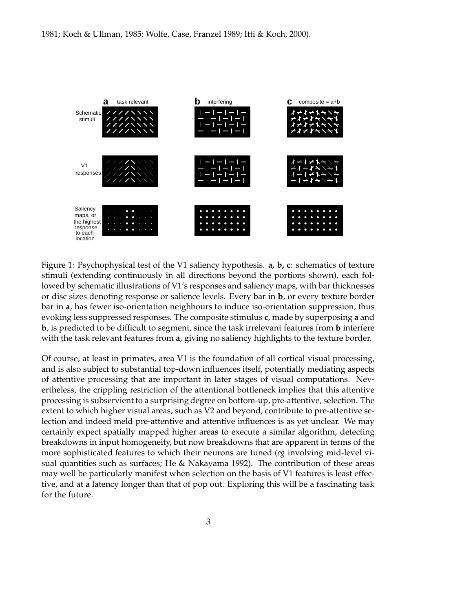

Figure 1: Psychophysical test of the V1 saliency hypothesis. **a, b, c**: schematics of texture stimuli (extending continuously in all directions beyond the portions shown), each followed by schematic illustrations of V1's responses and saliency maps, with bar thicknesses or disc sizes denoting response or salience levels. Every bar in **b**, or every texture border bar in **a**, has fewer iso-orientation neighbours to induce iso-orientation suppression, thus evoking less suppressed responses. The composite stimulus **c**, made by superposing **a** and **b**, is predicted to be difficult to segment, since the task irrelevant features from **b** interfere with the task relevant features from **a**, giving no saliency highlights to the texture border.

Of course, at least in primates, area V1 is the foundation of all cortical visual processing, and is also subject to substantial top-down influences itself, potentially mediating aspects of attentive processing that are important in later stages of visual computations. Nevertheless, the crippling restriction of the attentional bottleneck implies that this attentive processing is subservient to a surprising degree on bottom-up, pre-attentive, selection. The extent to which higher visual areas, such as V2 and beyond, contribute to pre-attentive selection and indeed meld pre-attentive and attentive influences is as yet unclear. We may certainly expect spatially mapped higher areas to execute a similar algorithm, detecting breakdowns in input homogeneity, but now breakdowns that are apparent in terms of the more sophisticated features to which their neurons are tuned (*eg* involving mid-level visual quantities such as surfaces; He & Nakayama 1992). The contribution of these areas may well be particularly manifest when selection on the basis of V1 features is least effective, and at a latency longer than that of pop out. Exploring this will be a fascinating task for the future.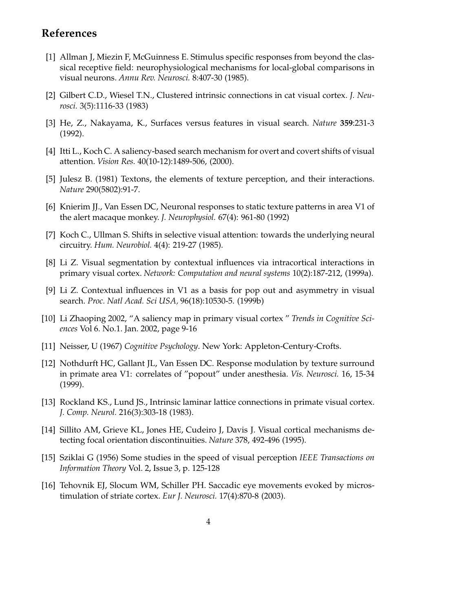## **References**

- [1] Allman J, Miezin F, McGuinness E. Stimulus specific responses from beyond the classical receptive field: neurophysiological mechanisms for local-global comparisons in visual neurons. *Annu Rev. Neurosci.* 8:407-30 (1985).
- [2] Gilbert C.D., Wiesel T.N., Clustered intrinsic connections in cat visual cortex. *J. Neurosci.* 3(5):1116-33 (1983)
- [3] He, Z., Nakayama, K., Surfaces versus features in visual search. *Nature* **359**:231-3 (1992).
- [4] Itti L., Koch C. A saliency-based search mechanism for overt and covert shifts of visual attention. *Vision Res.* 40(10-12):1489-506, (2000).
- [5] Julesz B. (1981) Textons, the elements of texture perception, and their interactions. *Nature* 290(5802):91-7.
- [6] Knierim JJ., Van Essen DC, Neuronal responses to static texture patterns in area V1 of the alert macaque monkey. *J. Neurophysiol.* 67(4): 961-80 (1992)
- [7] Koch C., Ullman S. Shifts in selective visual attention: towards the underlying neural circuitry. *Hum. Neurobiol.* 4(4): 219-27 (1985).
- [8] Li Z. Visual segmentation by contextual influences via intracortical interactions in primary visual cortex. *Network: Computation and neural systems* 10(2):187-212, (1999a).
- [9] Li Z. Contextual influences in V1 as a basis for pop out and asymmetry in visual search. *Proc. Natl Acad. Sci USA,* 96(18):10530-5. (1999b)
- [10] Li Zhaoping 2002, "A saliency map in primary visual cortex " *Trends in Cognitive Sciences* Vol 6. No.1. Jan. 2002, page 9-16
- [11] Neisser, U (1967) *Cognitive Psychology*. New York: Appleton-Century-Crofts.
- [12] Nothdurft HC, Gallant JL, Van Essen DC. Response modulation by texture surround in primate area V1: correlates of "popout" under anesthesia. *Vis. Neurosci.* 16, 15-34 (1999).
- [13] Rockland KS., Lund JS., Intrinsic laminar lattice connections in primate visual cortex. *J. Comp. Neurol.* 216(3):303-18 (1983).
- [14] Sillito AM, Grieve KL, Jones HE, Cudeiro J, Davis J. Visual cortical mechanisms detecting focal orientation discontinuities. *Nature* 378, 492-496 (1995).
- [15] Sziklai G (1956) Some studies in the speed of visual perception *IEEE Transactions on Information Theory* Vol. 2, Issue 3, p. 125-128
- [16] Tehovnik EJ, Slocum WM, Schiller PH. Saccadic eye movements evoked by microstimulation of striate cortex. *Eur J. Neurosci.* 17(4):870-8 (2003).